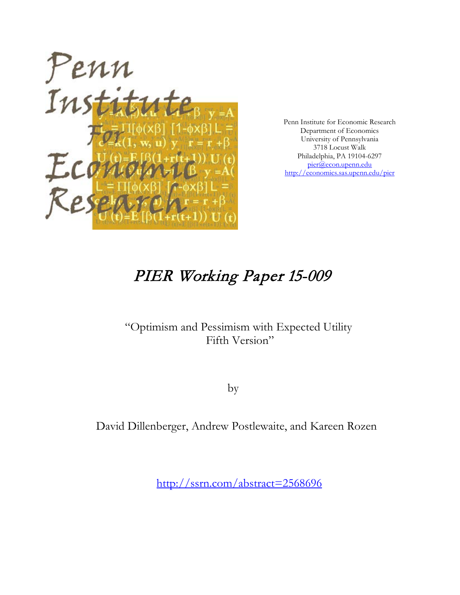

Penn Institute for Economic Research Department of Economics University of Pennsylvania 3718 Locust Walk Philadelphia, PA 19104-6297 [pier@econ.upenn.edu](mailto:pier@econ.upenn.edu) <http://economics.sas.upenn.edu/pier>

# PIER Working Paper 15-009

# "Optimism and Pessimism with Expected Utility Fifth Version"

by

David Dillenberger, Andrew Postlewaite, and Kareen Rozen

[http://ssrn.com/abstract=2](http://ssrn.com/abstract_id=)568696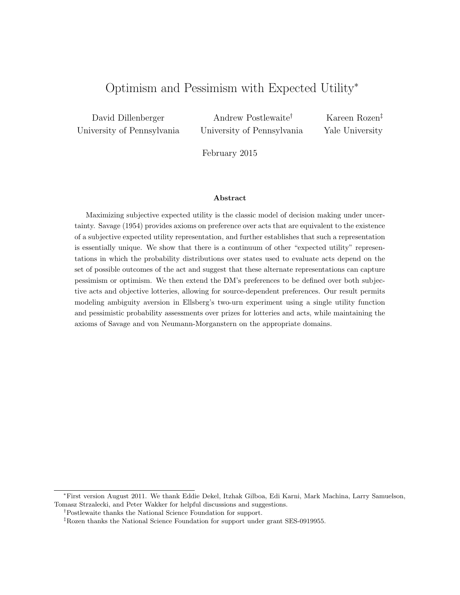# Optimism and Pessimism with Expected Utility<sup>∗</sup>

David Dillenberger University of Pennsylvania

Andrew Postlewaite† University of Pennsylvania

Kareen Rozen‡ Yale University

February 2015

#### Abstract

Maximizing subjective expected utility is the classic model of decision making under uncertainty. Savage (1954) provides axioms on preference over acts that are equivalent to the existence of a subjective expected utility representation, and further establishes that such a representation is essentially unique. We show that there is a continuum of other "expected utility" representations in which the probability distributions over states used to evaluate acts depend on the set of possible outcomes of the act and suggest that these alternate representations can capture pessimism or optimism. We then extend the DM's preferences to be defined over both subjective acts and objective lotteries, allowing for source-dependent preferences. Our result permits modeling ambiguity aversion in Ellsberg's two-urn experiment using a single utility function and pessimistic probability assessments over prizes for lotteries and acts, while maintaining the axioms of Savage and von Neumann-Morganstern on the appropriate domains.

<sup>∗</sup>First version August 2011. We thank Eddie Dekel, Itzhak Gilboa, Edi Karni, Mark Machina, Larry Samuelson, Tomasz Strzalecki, and Peter Wakker for helpful discussions and suggestions.

<sup>†</sup>Postlewaite thanks the National Science Foundation for support.

<sup>‡</sup>Rozen thanks the National Science Foundation for support under grant SES-0919955.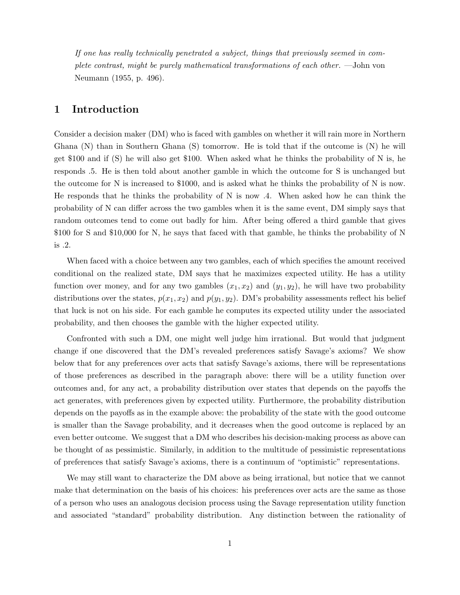If one has really technically penetrated a subject, things that previously seemed in complete contrast, might be purely mathematical transformations of each other. —John von Neumann (1955, p. 496).

# 1 Introduction

Consider a decision maker (DM) who is faced with gambles on whether it will rain more in Northern Ghana (N) than in Southern Ghana (S) tomorrow. He is told that if the outcome is (N) he will get \$100 and if (S) he will also get \$100. When asked what he thinks the probability of N is, he responds .5. He is then told about another gamble in which the outcome for S is unchanged but the outcome for N is increased to \$1000, and is asked what he thinks the probability of N is now. He responds that he thinks the probability of N is now  $.4$ . When asked how he can think the probability of N can differ across the two gambles when it is the same event, DM simply says that random outcomes tend to come out badly for him. After being offered a third gamble that gives \$100 for S and \$10,000 for N, he says that faced with that gamble, he thinks the probability of N is .2.

When faced with a choice between any two gambles, each of which specifies the amount received conditional on the realized state, DM says that he maximizes expected utility. He has a utility function over money, and for any two gambles  $(x_1, x_2)$  and  $(y_1, y_2)$ , he will have two probability distributions over the states,  $p(x_1, x_2)$  and  $p(y_1, y_2)$ . DM's probability assessments reflect his belief that luck is not on his side. For each gamble he computes its expected utility under the associated probability, and then chooses the gamble with the higher expected utility.

Confronted with such a DM, one might well judge him irrational. But would that judgment change if one discovered that the DM's revealed preferences satisfy Savage's axioms? We show below that for any preferences over acts that satisfy Savage's axioms, there will be representations of those preferences as described in the paragraph above: there will be a utility function over outcomes and, for any act, a probability distribution over states that depends on the payoffs the act generates, with preferences given by expected utility. Furthermore, the probability distribution depends on the payoffs as in the example above: the probability of the state with the good outcome is smaller than the Savage probability, and it decreases when the good outcome is replaced by an even better outcome. We suggest that a DM who describes his decision-making process as above can be thought of as pessimistic. Similarly, in addition to the multitude of pessimistic representations of preferences that satisfy Savage's axioms, there is a continuum of "optimistic" representations.

We may still want to characterize the DM above as being irrational, but notice that we cannot make that determination on the basis of his choices: his preferences over acts are the same as those of a person who uses an analogous decision process using the Savage representation utility function and associated "standard" probability distribution. Any distinction between the rationality of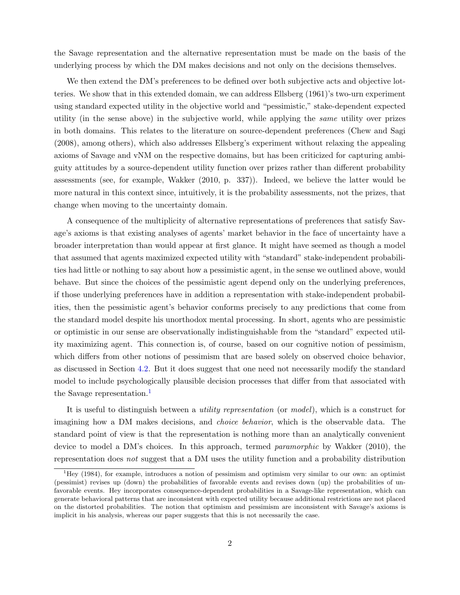the Savage representation and the alternative representation must be made on the basis of the underlying process by which the DM makes decisions and not only on the decisions themselves.

We then extend the DM's preferences to be defined over both subjective acts and objective lotteries. We show that in this extended domain, we can address Ellsberg (1961)'s two-urn experiment using standard expected utility in the objective world and "pessimistic," stake-dependent expected utility (in the sense above) in the subjective world, while applying the same utility over prizes in both domains. This relates to the literature on source-dependent preferences (Chew and Sagi (2008), among others), which also addresses Ellsberg's experiment without relaxing the appealing axioms of Savage and vNM on the respective domains, but has been criticized for capturing ambiguity attitudes by a source-dependent utility function over prizes rather than different probability assessments (see, for example, Wakker (2010, p. 337)). Indeed, we believe the latter would be more natural in this context since, intuitively, it is the probability assessments, not the prizes, that change when moving to the uncertainty domain.

A consequence of the multiplicity of alternative representations of preferences that satisfy Savage's axioms is that existing analyses of agents' market behavior in the face of uncertainty have a broader interpretation than would appear at first glance. It might have seemed as though a model that assumed that agents maximized expected utility with "standard" stake-independent probabilities had little or nothing to say about how a pessimistic agent, in the sense we outlined above, would behave. But since the choices of the pessimistic agent depend only on the underlying preferences, if those underlying preferences have in addition a representation with stake-independent probabilities, then the pessimistic agent's behavior conforms precisely to any predictions that come from the standard model despite his unorthodox mental processing. In short, agents who are pessimistic or optimistic in our sense are observationally indistinguishable from the "standard" expected utility maximizing agent. This connection is, of course, based on our cognitive notion of pessimism, which differs from other notions of pessimism that are based solely on observed choice behavior, as discussed in Section [4.2.](#page-12-0) But it does suggest that one need not necessarily modify the standard model to include psychologically plausible decision processes that differ from that associated with the Savage representation.<sup>[1](#page-3-0)</sup>

It is useful to distinguish between a utility representation (or model), which is a construct for imagining how a DM makes decisions, and choice behavior, which is the observable data. The standard point of view is that the representation is nothing more than an analytically convenient device to model a DM's choices. In this approach, termed paramorphic by Wakker (2010), the representation does not suggest that a DM uses the utility function and a probability distribution

<span id="page-3-0"></span><sup>1</sup>Hey (1984), for example, introduces a notion of pessimism and optimism very similar to our own: an optimist (pessimist) revises up (down) the probabilities of favorable events and revises down (up) the probabilities of unfavorable events. Hey incorporates consequence-dependent probabilities in a Savage-like representation, which can generate behavioral patterns that are inconsistent with expected utility because additional restrictions are not placed on the distorted probabilities. The notion that optimism and pessimism are inconsistent with Savage's axioms is implicit in his analysis, whereas our paper suggests that this is not necessarily the case.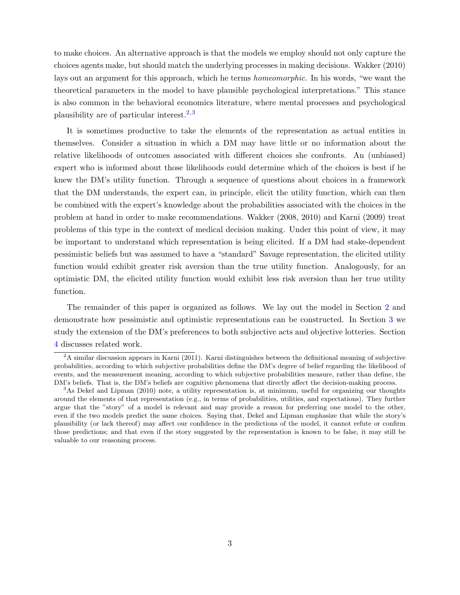to make choices. An alternative approach is that the models we employ should not only capture the choices agents make, but should match the underlying processes in making decisions. Wakker (2010) lays out an argument for this approach, which he terms homeomorphic. In his words, "we want the theoretical parameters in the model to have plausible psychological interpretations." This stance is also common in the behavioral economics literature, where mental processes and psychological plausibility are of particular interest.<sup>[2](#page-4-0),[3](#page-4-1)</sup>

It is sometimes productive to take the elements of the representation as actual entities in themselves. Consider a situation in which a DM may have little or no information about the relative likelihoods of outcomes associated with different choices she confronts. An (unbiased) expert who is informed about those likelihoods could determine which of the choices is best if he knew the DM's utility function. Through a sequence of questions about choices in a framework that the DM understands, the expert can, in principle, elicit the utility function, which can then be combined with the expert's knowledge about the probabilities associated with the choices in the problem at hand in order to make recommendations. Wakker (2008, 2010) and Karni (2009) treat problems of this type in the context of medical decision making. Under this point of view, it may be important to understand which representation is being elicited. If a DM had stake-dependent pessimistic beliefs but was assumed to have a "standard" Savage representation, the elicited utility function would exhibit greater risk aversion than the true utility function. Analogously, for an optimistic DM, the elicited utility function would exhibit less risk aversion than her true utility function.

The remainder of this paper is organized as follows. We lay out the model in Section [2](#page-5-0) and demonstrate how pessimistic and optimistic representations can be constructed. In Section [3](#page-9-0) we study the extension of the DM's preferences to both subjective acts and objective lotteries. Section [4](#page-11-0) discusses related work.

<span id="page-4-0"></span><sup>2</sup>A similar discussion appears in Karni (2011). Karni distinguishes between the definitional meaning of subjective probabilities, according to which subjective probabilities define the DM's degree of belief regarding the likelihood of events, and the measurement meaning, according to which subjective probabilities measure, rather than define, the DM's beliefs. That is, the DM's beliefs are cognitive phenomena that directly affect the decision-making process.

<span id="page-4-1"></span><sup>3</sup>As Dekel and Lipman (2010) note, a utility representation is, at minimum, useful for organizing our thoughts around the elements of that representation (e.g., in terms of probabilities, utilities, and expectations). They further argue that the "story" of a model is relevant and may provide a reason for preferring one model to the other, even if the two models predict the same choices. Saying that, Dekel and Lipman emphasize that while the story's plausibility (or lack thereof) may affect our confidence in the predictions of the model, it cannot refute or confirm those predictions; and that even if the story suggested by the representation is known to be false, it may still be valuable to our reasoning process.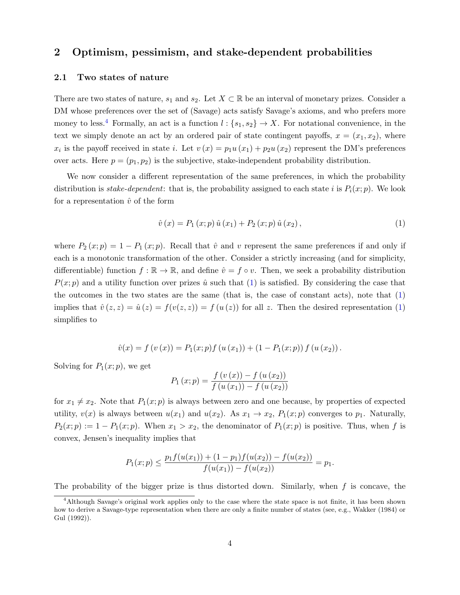# <span id="page-5-0"></span>2 Optimism, pessimism, and stake-dependent probabilities

#### 2.1 Two states of nature

There are two states of nature,  $s_1$  and  $s_2$ . Let  $X \subset \mathbb{R}$  be an interval of monetary prizes. Consider a DM whose preferences over the set of (Savage) acts satisfy Savage's axioms, and who prefers more money to less.<sup>[4](#page-5-1)</sup> Formally, an act is a function  $l: \{s_1, s_2\} \to X$ . For notational convenience, in the text we simply denote an act by an ordered pair of state contingent payoffs,  $x = (x_1, x_2)$ , where  $x_i$  is the payoff received in state *i*. Let  $v(x) = p_1u(x_1) + p_2u(x_2)$  represent the DM's preferences over acts. Here  $p = (p_1, p_2)$  is the subjective, stake-independent probability distribution.

We now consider a different representation of the same preferences, in which the probability distribution is *stake-dependent*: that is, the probability assigned to each state i is  $P_i(x; p)$ . We look for a representation  $\hat{v}$  of the form

<span id="page-5-2"></span>
$$
\hat{v}(x) = P_1(x; p) \hat{u}(x_1) + P_2(x; p) \hat{u}(x_2), \qquad (1)
$$

where  $P_2(x; p) = 1 - P_1(x; p)$ . Recall that  $\hat{v}$  and v represent the same preferences if and only if each is a monotonic transformation of the other. Consider a strictly increasing (and for simplicity, differentiable) function  $f : \mathbb{R} \to \mathbb{R}$ , and define  $\hat{v} = f \circ v$ . Then, we seek a probability distribution  $P(x; p)$  and a utility function over prizes  $\hat{u}$  such that [\(1\)](#page-5-2) is satisfied. By considering the case that the outcomes in the two states are the same (that is, the case of constant acts), note that [\(1\)](#page-5-2) implies that  $\hat{v}(z, z) = \hat{u}(z) = f(v(z, z)) = f(u(z))$  for all z. Then the desired representation [\(1\)](#page-5-2) simplifies to

$$
\hat{v}(x) = f(v(x)) = P_1(x; p) f(u(x_1)) + (1 - P_1(x; p)) f(u(x_2)).
$$

Solving for  $P_1(x; p)$ , we get

$$
P_1(x; p) = \frac{f(v(x)) - f(u(x_2))}{f(u(x_1)) - f(u(x_2))}
$$

for  $x_1 \neq x_2$ . Note that  $P_1(x; p)$  is always between zero and one because, by properties of expected utility,  $v(x)$  is always between  $u(x_1)$  and  $u(x_2)$ . As  $x_1 \rightarrow x_2$ ,  $P_1(x; p)$  converges to  $p_1$ . Naturally,  $P_2(x; p) := 1 - P_1(x; p)$ . When  $x_1 > x_2$ , the denominator of  $P_1(x; p)$  is positive. Thus, when f is convex, Jensen's inequality implies that

$$
P_1(x; p) \le \frac{p_1 f(u(x_1)) + (1 - p_1) f(u(x_2)) - f(u(x_2))}{f(u(x_1)) - f(u(x_2))} = p_1.
$$

The probability of the bigger prize is thus distorted down. Similarly, when  $f$  is concave, the

<span id="page-5-1"></span><sup>4</sup>Although Savage's original work applies only to the case where the state space is not finite, it has been shown how to derive a Savage-type representation when there are only a finite number of states (see, e.g., Wakker (1984) or Gul (1992)).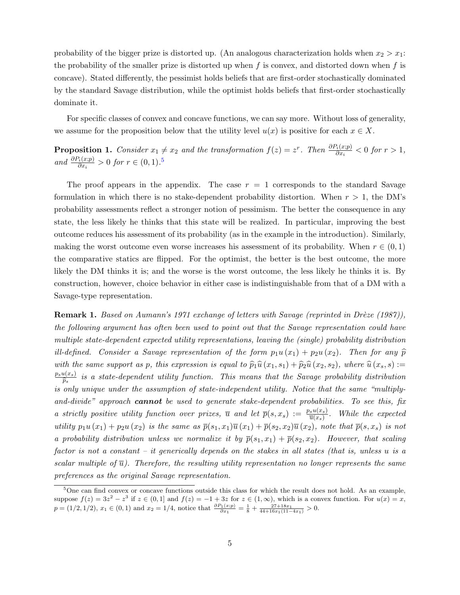probability of the bigger prize is distorted up. (An analogous characterization holds when  $x_2 > x_1$ : the probability of the smaller prize is distorted up when  $f$  is convex, and distorted down when  $f$  is concave). Stated differently, the pessimist holds beliefs that are first-order stochastically dominated by the standard Savage distribution, while the optimist holds beliefs that first-order stochastically dominate it.

For specific classes of convex and concave functions, we can say more. Without loss of generality, we assume for the proposition below that the utility level  $u(x)$  is positive for each  $x \in X$ .

<span id="page-6-1"></span>**Proposition 1.** Consider  $x_1 \neq x_2$  and the transformation  $f(z) = z^r$ . Then  $\frac{\partial P_i(x;p)}{\partial x_i} < 0$  for  $r > 1$ , and  $\frac{\partial P_i(x;p)}{\partial x_i} > 0$  for  $r \in (0,1).^5$  $r \in (0,1).^5$ 

The proof appears in the appendix. The case  $r = 1$  corresponds to the standard Savage formulation in which there is no stake-dependent probability distortion. When  $r > 1$ , the DM's probability assessments reflect a stronger notion of pessimism. The better the consequence in any state, the less likely he thinks that this state will be realized. In particular, improving the best outcome reduces his assessment of its probability (as in the example in the introduction). Similarly, making the worst outcome even worse increases his assessment of its probability. When  $r \in (0,1)$ the comparative statics are flipped. For the optimist, the better is the best outcome, the more likely the DM thinks it is; and the worse is the worst outcome, the less likely he thinks it is. By construction, however, choice behavior in either case is indistinguishable from that of a DM with a Savage-type representation.

**Remark 1.** Based on Aumann's 1971 exchange of letters with Savage (reprinted in Drèze (1987)), the following argument has often been used to point out that the Savage representation could have multiple state-dependent expected utility representations, leaving the (single) probability distribution ill-defined. Consider a Savage representation of the form  $p_1u(x_1) + p_2u(x_2)$ . Then for any  $\widehat{p}$ with the same support as p, this expression is equal to  $\hat{p}_1\hat{u}(x_1, s_1) + \hat{p}_2\hat{u}(x_2, s_2)$ , where  $\hat{u}(x_s, s) :=$  $p_su(x_s)$  $\widehat{\overline{p}_s}$  is a state-dependent utility function. This means that the Savage probability distribution is only unique under the assumption of state-independent utility. Notice that the same "multiplyand-divide" approach **cannot** be used to generate stake-dependent probabilities. To see this, fix a strictly positive utility function over prizes,  $\overline{u}$  and let  $\overline{p}(s,x_s) := \frac{p_s u(x_s)}{\overline{u}(x_s)}$ . While the expected utility  $p_1u(x_1) + p_2u(x_2)$  is the same as  $\overline{p}(s_1, x_1)\overline{u}(x_1) + \overline{p}(s_2, x_2)\overline{u}(x_2)$ , note that  $\overline{p}(s, x_s)$  is not a probability distribution unless we normalize it by  $\bar{p}(s_1, x_1) + \bar{p}(s_2, x_2)$ . However, that scaling factor is not a constant – it generically depends on the stakes in all states (that is, unless u is a scalar multiple of  $\overline{u}$ ). Therefore, the resulting utility representation no longer represents the same preferences as the original Savage representation.

<span id="page-6-0"></span><sup>&</sup>lt;sup>5</sup>One can find convex or concave functions outside this class for which the result does not hold. As an example, suppose  $f(z) = 3z^2 - z^3$  if  $z \in (0,1]$  and  $f(z) = -1 + 3z$  for  $z \in (1,\infty)$ , which is a convex function. For  $u(x) = x$ ,  $p = (1/2, 1/2), x_1 \in (0, 1)$  and  $x_2 = 1/4$ , notice that  $\frac{\partial P_1(x;p)}{\partial x_1} = \frac{1}{8} + \frac{27 + 18x_1}{44 + 16x_1(11 - 4x_1)} > 0$ .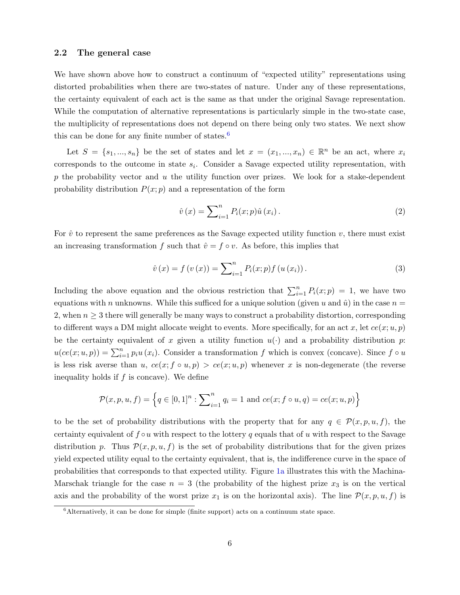#### <span id="page-7-1"></span>2.2 The general case

We have shown above how to construct a continuum of "expected utility" representations using distorted probabilities when there are two-states of nature. Under any of these representations, the certainty equivalent of each act is the same as that under the original Savage representation. While the computation of alternative representations is particularly simple in the two-state case, the multiplicity of representations does not depend on there being only two states. We next show this can be done for any finite number of states. $6$ 

Let  $S = \{s_1, ..., s_n\}$  be the set of states and let  $x = (x_1, ..., x_n) \in \mathbb{R}^n$  be an act, where  $x_i$ corresponds to the outcome in state  $s_i$ . Consider a Savage expected utility representation, with p the probability vector and u the utility function over prizes. We look for a stake-dependent probability distribution  $P(x; p)$  and a representation of the form

$$
\hat{v}(x) = \sum_{i=1}^{n} P_i(x; p)\hat{u}(x_i).
$$
 (2)

For  $\hat{v}$  to represent the same preferences as the Savage expected utility function v, there must exist an increasing transformation f such that  $\hat{v} = f \circ v$ . As before, this implies that

$$
\hat{v}(x) = f(v(x)) = \sum_{i=1}^{n} P_i(x; p) f(u(x_i)).
$$
\n(3)

Including the above equation and the obvious restriction that  $\sum_{i=1}^{n} P_i(x; p) = 1$ , we have two equations with n unknowns. While this sufficed for a unique solution (given u and  $\hat{u}$ ) in the case  $n =$ 2, when  $n \geq 3$  there will generally be many ways to construct a probability distortion, corresponding to different ways a DM might allocate weight to events. More specifically, for an act x, let  $ce(x; u, p)$ be the certainty equivalent of x given a utility function  $u(\cdot)$  and a probability distribution p:  $u(ce(x; u, p)) = \sum_{i=1}^{n} p_i u(x_i)$ . Consider a transformation f which is convex (concave). Since  $f \circ u$ is less risk averse than u,  $ce(x; f \circ u, p) > ce(x; u, p)$  whenever x is non-degenerate (the reverse inequality holds if  $f$  is concave). We define

$$
\mathcal{P}(x, p, u, f) = \left\{ q \in [0, 1]^n : \sum_{i=1}^n q_i = 1 \text{ and } ce(x; f \circ u, q) = ce(x; u, p) \right\}
$$

to be the set of probability distributions with the property that for any  $q \in \mathcal{P}(x, p, u, f)$ , the certainty equivalent of  $f \circ u$  with respect to the lottery q equals that of u with respect to the Savage distribution p. Thus  $\mathcal{P}(x, p, u, f)$  is the set of probability distributions that for the given prizes yield expected utility equal to the certainty equivalent, that is, the indifference curve in the space of probabilities that corresponds to that expected utility. Figure [1a](#page-8-0) illustrates this with the Machina-Marschak triangle for the case  $n = 3$  (the probability of the highest prize  $x_3$  is on the vertical axis and the probability of the worst prize  $x_1$  is on the horizontal axis). The line  $\mathcal{P}(x, p, u, f)$  is

<span id="page-7-0"></span> ${}^{6}$ Alternatively, it can be done for simple (finite support) acts on a continuum state space.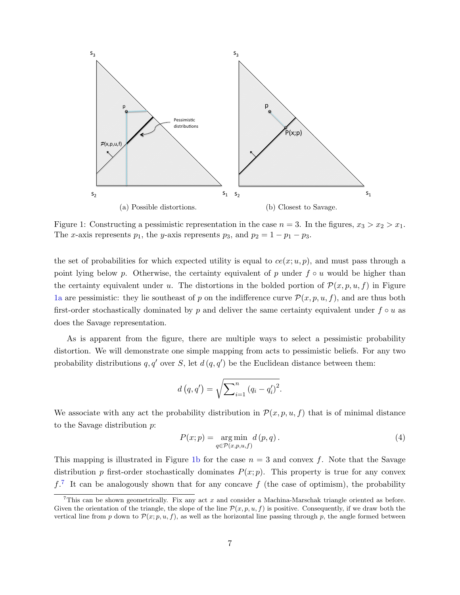<span id="page-8-0"></span>

Figure 1: Constructing a pessimistic representation in the case  $n = 3$ . In the figures,  $x_3 > x_2 > x_1$ . The x-axis represents  $p_1$ , the y-axis represents  $p_3$ , and  $p_2 = 1 - p_1 - p_3$ .

the set of probabilities for which expected utility is equal to  $ce(x; u, p)$ , and must pass through a point lying below p. Otherwise, the certainty equivalent of p under  $f \circ u$  would be higher than the certainty equivalent under u. The distortions in the bolded portion of  $\mathcal{P}(x, p, u, f)$  in Figure [1a](#page-8-0) are pessimistic: they lie southeast of p on the indifference curve  $\mathcal{P}(x, p, u, f)$ , and are thus both first-order stochastically dominated by p and deliver the same certainty equivalent under  $f \circ u$  as does the Savage representation.

As is apparent from the figure, there are multiple ways to select a pessimistic probability distortion. We will demonstrate one simple mapping from acts to pessimistic beliefs. For any two probability distributions q, q' over S, let  $d(q, q')$  be the Euclidean distance between them:

$$
d(q, q') = \sqrt{\sum_{i=1}^{n} (q_i - q'_i)^2}.
$$

We associate with any act the probability distribution in  $\mathcal{P}(x, p, u, f)$  that is of minimal distance to the Savage distribution p:

<span id="page-8-2"></span>
$$
P(x; p) = \underset{q \in \mathcal{P}(x, p, u, f)}{\arg \min} d(p, q). \tag{4}
$$

This mapping is illustrated in Figure [1b](#page-8-0) for the case  $n = 3$  and convex f. Note that the Savage distribution p first-order stochastically dominates  $P(x; p)$ . This property is true for any convex  $f<sup>7</sup>$  $f<sup>7</sup>$  $f<sup>7</sup>$  It can be analogously shown that for any concave f (the case of optimism), the probability

<span id="page-8-1"></span><sup>&</sup>lt;sup>7</sup>This can be shown geometrically. Fix any act  $x$  and consider a Machina-Marschak triangle oriented as before. Given the orientation of the triangle, the slope of the line  $\mathcal{P}(x, p, u, f)$  is positive. Consequently, if we draw both the vertical line from p down to  $\mathcal{P}(x; p, u, f)$ , as well as the horizontal line passing through p, the angle formed between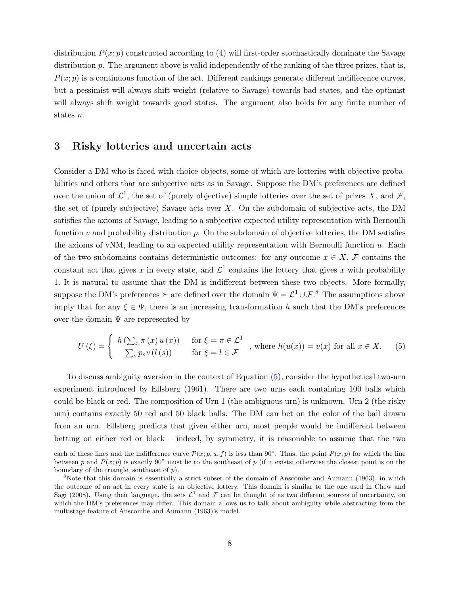distribution  $P(x; p)$  constructed according to [\(4\)](#page-8-2) will first-order stochastically dominate the Savage distribution p. The argument above is valid independently of the ranking of the three prizes, that is,  $P(x; p)$  is a continuous function of the act. Different rankings generate different indifference curves, but a pessimist will always shift weight (relative to Savage) towards bad states, and the optimist will always shift weight towards good states. The argument also holds for any finite number of states n.

## <span id="page-9-0"></span>3 Risky lotteries and uncertain acts

Consider a DM who is faced with choice objects, some of which are lotteries with objective probabilities and others that are subjective acts as in Savage. Suppose the DM's preferences are defined over the union of  $\mathcal{L}^1$ , the set of (purely objective) simple lotteries over the set of prizes X, and F, the set of (purely subjective) Savage acts over  $X$ . On the subdomain of subjective acts, the DM satisfies the axioms of Savage, leading to a subjective expected utility representation with Bernoulli function  $v$  and probability distribution  $p$ . On the subdomain of objective lotteries, the DM satisfies the axioms of vNM, leading to an expected utility representation with Bernoulli function  $u$ . Each of the two subdomains contains deterministic outcomes: for any outcome  $x \in X$ , F contains the constant act that gives x in every state, and  $\mathcal{L}^1$  contains the lottery that gives x with probability 1. It is natural to assume that the DM is indifferent between these two objects. More formally, suppose the DM's preferences  $\succeq$  are defined over the domain  $\Psi = \mathcal{L}^1 \cup \mathcal{F}$ .<sup>[8](#page-9-1)</sup> The assumptions above imply that for any  $\xi \in \Psi$ , there is an increasing transformation h such that the DM's preferences over the domain  $\Psi$  are represented by

<span id="page-9-2"></span>
$$
U(\xi) = \begin{cases} h\left(\sum_{x} \pi(x) u(x)\right) & \text{for } \xi = \pi \in \mathcal{L}^1 \\ \sum_{s} p_s v(l(s)) & \text{for } \xi = l \in \mathcal{F} \end{cases}, \text{ where } h(u(x)) = v(x) \text{ for all } x \in X. \tag{5}
$$

To discuss ambiguity aversion in the context of Equation [\(5\)](#page-9-2), consider the hypothetical two-urn experiment introduced by Ellsberg (1961). There are two urns each containing 100 balls which could be black or red. The composition of Urn 1 (the ambiguous urn) is unknown. Urn 2 (the risky urn) contains exactly 50 red and 50 black balls. The DM can bet on the color of the ball drawn from an urn. Ellsberg predicts that given either urn, most people would be indifferent between betting on either red or black – indeed, by symmetry, it is reasonable to assume that the two

each of these lines and the indifference curve  $\mathcal{P}(x;p,u,f)$  is less than 90°. Thus, the point  $P(x;p)$  for which the line between p and  $P(x; p)$  is exactly 90° must lie to the southeast of p (if it exists; otherwise the closest point is on the boundary of the triangle, southeast of p).

<span id="page-9-1"></span><sup>&</sup>lt;sup>8</sup>Note that this domain is essentially a strict subset of the domain of Anscombe and Aumann (1963), in which the outcome of an act in every state is an objective lottery. This domain is similar to the one used in Chew and Sagi (2008). Using their language, the sets  $\mathcal{L}^1$  and  $\mathcal F$  can be thought of as two different sources of uncertainty, on which the DM's preferences may differ. This domain allows us to talk about ambiguity while abstracting from the multistage feature of Anscombe and Aumann (1963)'s model.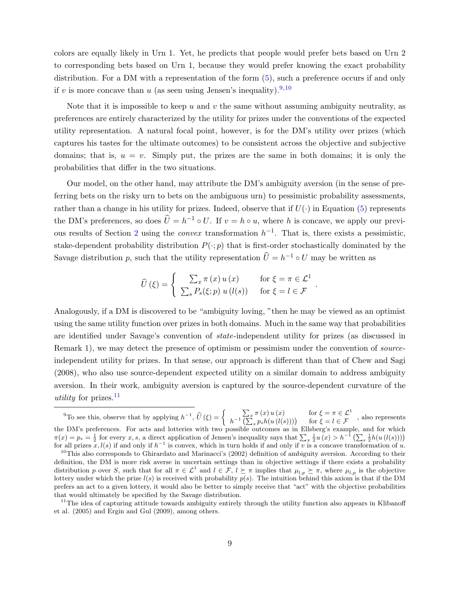colors are equally likely in Urn 1. Yet, he predicts that people would prefer bets based on Urn 2 to corresponding bets based on Urn 1, because they would prefer knowing the exact probability distribution. For a DM with a representation of the form [\(5\)](#page-9-2), such a preference occurs if and only if v is more concave than u (as seen using Jensen's inequality).<sup>[9](#page-10-0),[10](#page-10-1)</sup>

Note that it is impossible to keep u and v the same without assuming ambiguity neutrality, as preferences are entirely characterized by the utility for prizes under the conventions of the expected utility representation. A natural focal point, however, is for the DM's utility over prizes (which captures his tastes for the ultimate outcomes) to be consistent across the objective and subjective domains; that is,  $u = v$ . Simply put, the prizes are the same in both domains; it is only the probabilities that differ in the two situations.

Our model, on the other hand, may attribute the DM's ambiguity aversion (in the sense of preferring bets on the risky urn to bets on the ambiguous urn) to pessimistic probability assessments, rather than a change in his utility for prizes. Indeed, observe that if  $U(\cdot)$  in Equation [\(5\)](#page-9-2) represents the DM's preferences, so does  $\hat{U} = h^{-1} \circ U$ . If  $v = h \circ u$ , where h is concave, we apply our previ-ous results of Section [2](#page-5-0) using the *convex* transformation  $h^{-1}$ . That is, there exists a pessimistic, stake-dependent probability distribution  $P(\cdot; p)$  that is first-order stochastically dominated by the Savage distribution p, such that the utility representation  $\hat{U} = h^{-1} \circ U$  may be written as

$$
\widehat{U}(\xi) = \begin{cases}\n\sum_x \pi(x) u(x) & \text{for } \xi = \pi \in \mathcal{L}^1 \\
\sum_s P_s(\xi; p) u(l(s)) & \text{for } \xi = l \in \mathcal{F}\n\end{cases}
$$

.

Analogously, if a DM is discovered to be "ambiguity loving, "then he may be viewed as an optimist using the same utility function over prizes in both domains. Much in the same way that probabilities are identified under Savage's convention of state-independent utility for prizes (as discussed in Remark 1), we may detect the presence of optimism or pessimism under the convention of *source*independent utility for prizes. In that sense, our approach is different than that of Chew and Sagi (2008), who also use source-dependent expected utility on a similar domain to address ambiguity aversion. In their work, ambiguity aversion is captured by the source-dependent curvature of the utility for prizes. $^{11}$  $^{11}$  $^{11}$ 

<span id="page-10-0"></span><sup>&</sup>lt;sup>9</sup>To see this, observe that by applying  $h^{-1}$ ,  $\hat{U}(\xi) = \begin{cases} h^{-1} \sum_x \pi(x) u(x) & \text{for } \xi = \pi \in \mathcal{L}^1 \\ h^{-1} \left( \sum_{s} p_s h(u(l(s))) \right) & \text{for } \xi = l \in \mathcal{F} \end{cases}$  $h^{-1}\left(\sum_{s}^{+\infty}p_{s}h(u\left(l(s)\right))\right)$  for  $\xi = l \in \mathcal{F}$ , also represents the DM's preferences. For acts and lotteries with two possible outcomes as in Ellsberg's example, and for which

<span id="page-10-1"></span> $\pi(x) = p_s = \frac{1}{2}$  for every x, s, a direct application of Jensen's inequality says that  $\sum_x \frac{1}{2}u(x) > h^{-1}(\sum_s \frac{1}{2}h(u(l(s))))$ for all prizes  $x, l(s)$  if and only if  $h^{-1}$  is convex, which in turn holds if and only if v is a concave transformation of u.  $10$ This also corresponds to Ghirardato and Marinacci's (2002) definition of ambiguity aversion. According to their definition, the DM is more risk averse in uncertain settings than in objective settings if there exists a probability

distribution p over S, such that for all  $\pi \in \mathcal{L}^1$  and  $l \in \mathcal{F}$ ,  $l \succeq \pi$  implies that  $\mu_{l,p} \succeq \pi$ , where  $\mu_{l,p}$  is the objective lottery under which the prize  $l(s)$  is received with probability  $p(s)$ . The intuition behind this axiom is that if the DM prefers an act to a given lottery, it would also be better to simply receive that "act" with the objective probabilities that would ultimately be specified by the Savage distribution.

<span id="page-10-2"></span> $11$ The idea of capturing attitude towards ambiguity entirely through the utility function also appears in Klibanoff et al. (2005) and Ergin and Gul (2009), among others.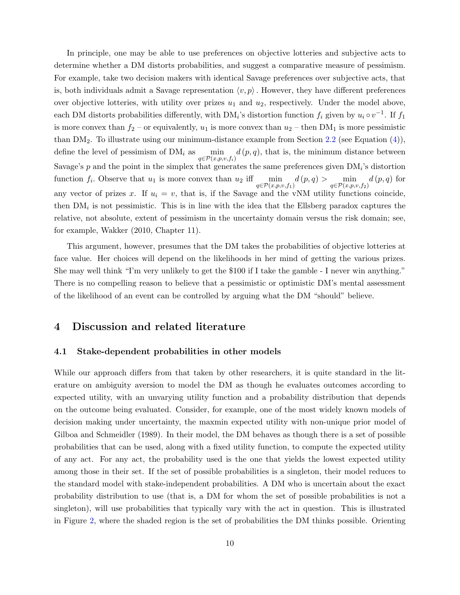In principle, one may be able to use preferences on objective lotteries and subjective acts to determine whether a DM distorts probabilities, and suggest a comparative measure of pessimism. For example, take two decision makers with identical Savage preferences over subjective acts, that is, both individuals admit a Savage representation  $\langle v, p \rangle$ . However, they have different preferences over objective lotteries, with utility over prizes  $u_1$  and  $u_2$ , respectively. Under the model above, each DM distorts probabilities differently, with DM<sub>i</sub>'s distortion function  $f_i$  given by  $u_i \circ v^{-1}$ . If  $f_1$ is more convex than  $f_2$  – or equivalently,  $u_1$  is more convex than  $u_2$  – then DM<sub>1</sub> is more pessimistic than  $DM_2$ . To illustrate using our minimum-distance example from Section [2.2](#page-7-1) (see Equation  $(4)$ ), define the level of pessimism of  $DM_i$  as min  $q \in \mathcal{P}(x,p,v,f_i)$  $d(p, q)$ , that is, the minimum distance between Savage's  $p$  and the point in the simplex that generates the same preferences given  $DM_i$ 's distortion function  $f_i$ . Observe that  $u_1$  is more convex than  $u_2$  iff  $\min$  $\min_{q \in \mathcal{P}(x, p, v, f_1)} d(p, q) > \min_{q \in \mathcal{P}(x, p, v, f_2)} d(p, q)$  for any vector of prizes x. If  $u_i = v$ , that is, if the Savage and the vNM utility functions coincide, then  $DM_i$  is not pessimistic. This is in line with the idea that the Ellsberg paradox captures the relative, not absolute, extent of pessimism in the uncertainty domain versus the risk domain; see, for example, Wakker (2010, Chapter 11).

This argument, however, presumes that the DM takes the probabilities of objective lotteries at face value. Her choices will depend on the likelihoods in her mind of getting the various prizes. She may well think "I'm very unlikely to get the \$100 if I take the gamble - I never win anything." There is no compelling reason to believe that a pessimistic or optimistic DM's mental assessment of the likelihood of an event can be controlled by arguing what the DM "should" believe.

# <span id="page-11-0"></span>4 Discussion and related literature

#### 4.1 Stake-dependent probabilities in other models

While our approach differs from that taken by other researchers, it is quite standard in the literature on ambiguity aversion to model the DM as though he evaluates outcomes according to expected utility, with an unvarying utility function and a probability distribution that depends on the outcome being evaluated. Consider, for example, one of the most widely known models of decision making under uncertainty, the maxmin expected utility with non-unique prior model of Gilboa and Schmeidler (1989). In their model, the DM behaves as though there is a set of possible probabilities that can be used, along with a fixed utility function, to compute the expected utility of any act. For any act, the probability used is the one that yields the lowest expected utility among those in their set. If the set of possible probabilities is a singleton, their model reduces to the standard model with stake-independent probabilities. A DM who is uncertain about the exact probability distribution to use (that is, a DM for whom the set of possible probabilities is not a singleton), will use probabilities that typically vary with the act in question. This is illustrated in Figure [2,](#page-12-1) where the shaded region is the set of probabilities the DM thinks possible. Orienting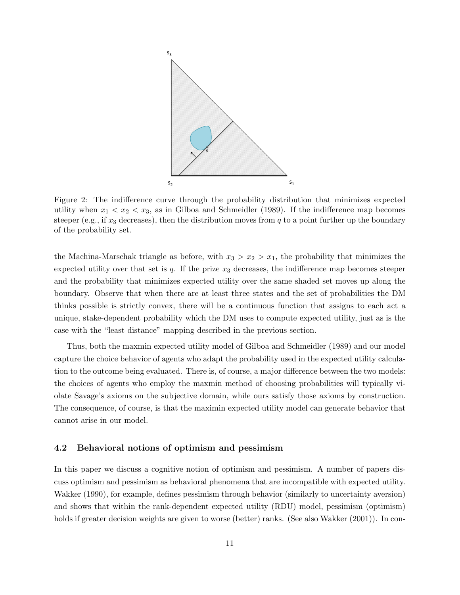<span id="page-12-1"></span>

Figure 2: The indifference curve through the probability distribution that minimizes expected utility when  $x_1 < x_2 < x_3$ , as in Gilboa and Schmeidler (1989). If the indifference map becomes steeper (e.g., if  $x_3$  decreases), then the distribution moves from q to a point further up the boundary of the probability set.

the Machina-Marschak triangle as before, with  $x_3 > x_2 > x_1$ , the probability that minimizes the expected utility over that set is  $q$ . If the prize  $x_3$  decreases, the indifference map becomes steeper and the probability that minimizes expected utility over the same shaded set moves up along the boundary. Observe that when there are at least three states and the set of probabilities the DM thinks possible is strictly convex, there will be a continuous function that assigns to each act a unique, stake-dependent probability which the DM uses to compute expected utility, just as is the case with the "least distance" mapping described in the previous section.

Thus, both the maxmin expected utility model of Gilboa and Schmeidler (1989) and our model capture the choice behavior of agents who adapt the probability used in the expected utility calculation to the outcome being evaluated. There is, of course, a major difference between the two models: the choices of agents who employ the maxmin method of choosing probabilities will typically violate Savage's axioms on the subjective domain, while ours satisfy those axioms by construction. The consequence, of course, is that the maximin expected utility model can generate behavior that cannot arise in our model.

#### <span id="page-12-0"></span>4.2 Behavioral notions of optimism and pessimism

In this paper we discuss a cognitive notion of optimism and pessimism. A number of papers discuss optimism and pessimism as behavioral phenomena that are incompatible with expected utility. Wakker (1990), for example, defines pessimism through behavior (similarly to uncertainty aversion) and shows that within the rank-dependent expected utility (RDU) model, pessimism (optimism) holds if greater decision weights are given to worse (better) ranks. (See also Wakker (2001)). In con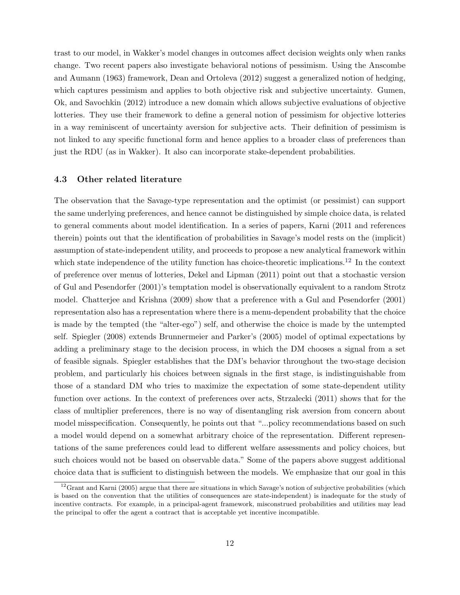trast to our model, in Wakker's model changes in outcomes affect decision weights only when ranks change. Two recent papers also investigate behavioral notions of pessimism. Using the Anscombe and Aumann (1963) framework, Dean and Ortoleva (2012) suggest a generalized notion of hedging, which captures pessimism and applies to both objective risk and subjective uncertainty. Gumen, Ok, and Savochkin (2012) introduce a new domain which allows subjective evaluations of objective lotteries. They use their framework to define a general notion of pessimism for objective lotteries in a way reminiscent of uncertainty aversion for subjective acts. Their definition of pessimism is not linked to any specific functional form and hence applies to a broader class of preferences than just the RDU (as in Wakker). It also can incorporate stake-dependent probabilities.

#### 4.3 Other related literature

The observation that the Savage-type representation and the optimist (or pessimist) can support the same underlying preferences, and hence cannot be distinguished by simple choice data, is related to general comments about model identification. In a series of papers, Karni (2011 and references therein) points out that the identification of probabilities in Savage's model rests on the (implicit) assumption of state-independent utility, and proceeds to propose a new analytical framework within which state independence of the utility function has choice-theoretic implications.<sup>[12](#page-13-0)</sup> In the context of preference over menus of lotteries, Dekel and Lipman (2011) point out that a stochastic version of Gul and Pesendorfer (2001)'s temptation model is observationally equivalent to a random Strotz model. Chatterjee and Krishna (2009) show that a preference with a Gul and Pesendorfer (2001) representation also has a representation where there is a menu-dependent probability that the choice is made by the tempted (the "alter-ego") self, and otherwise the choice is made by the untempted self. Spiegler (2008) extends Brunnermeier and Parker's (2005) model of optimal expectations by adding a preliminary stage to the decision process, in which the DM chooses a signal from a set of feasible signals. Spiegler establishes that the DM's behavior throughout the two-stage decision problem, and particularly his choices between signals in the first stage, is indistinguishable from those of a standard DM who tries to maximize the expectation of some state-dependent utility function over actions. In the context of preferences over acts, Strzalecki (2011) shows that for the class of multiplier preferences, there is no way of disentangling risk aversion from concern about model misspecification. Consequently, he points out that "...policy recommendations based on such a model would depend on a somewhat arbitrary choice of the representation. Different representations of the same preferences could lead to different welfare assessments and policy choices, but such choices would not be based on observable data." Some of the papers above suggest additional choice data that is sufficient to distinguish between the models. We emphasize that our goal in this

<span id="page-13-0"></span> $12$ Grant and Karni (2005) argue that there are situations in which Savage's notion of subjective probabilities (which is based on the convention that the utilities of consequences are state-independent) is inadequate for the study of incentive contracts. For example, in a principal-agent framework, misconstrued probabilities and utilities may lead the principal to offer the agent a contract that is acceptable yet incentive incompatible.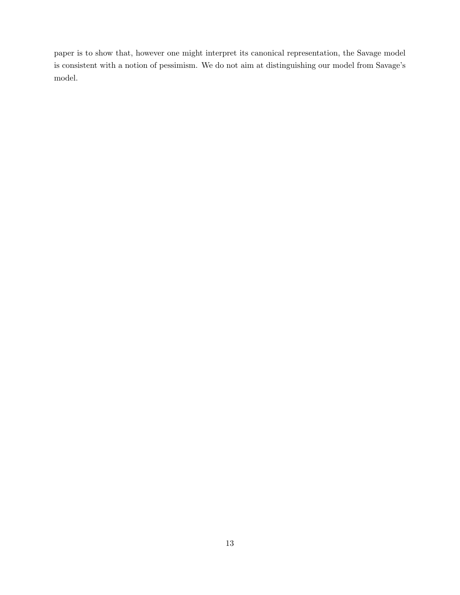paper is to show that, however one might interpret its canonical representation, the Savage model is consistent with a notion of pessimism. We do not aim at distinguishing our model from Savage's model.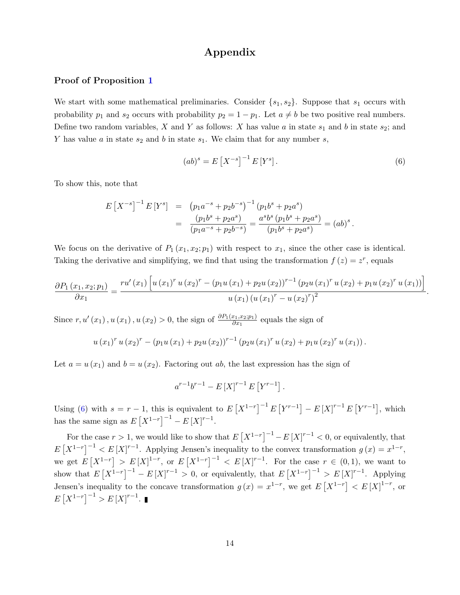# Appendix

### Proof of Proposition [1](#page-6-1)

We start with some mathematical preliminaries. Consider  $\{s_1, s_2\}$ . Suppose that  $s_1$  occurs with probability  $p_1$  and  $s_2$  occurs with probability  $p_2 = 1 - p_1$ . Let  $a \neq b$  be two positive real numbers. Define two random variables, X and Y as follows: X has value a in state  $s_1$  and b in state  $s_2$ ; and Y has value a in state  $s_2$  and b in state  $s_1$ . We claim that for any number s,

<span id="page-15-0"></span>
$$
(ab)^s = E[X^{-s}]^{-1} E[Y^s].
$$
\n(6)

.

To show this, note that

$$
E[X^{-s}]^{-1} E[Y^s] = (p_1 a^{-s} + p_2 b^{-s})^{-1} (p_1 b^s + p_2 a^s)
$$
  
= 
$$
\frac{(p_1 b^s + p_2 a^s)}{(p_1 a^{-s} + p_2 b^{-s})} = \frac{a^s b^s (p_1 b^s + p_2 a^s)}{(p_1 b^s + p_2 a^s)} = (ab)^s.
$$

We focus on the derivative of  $P_1(x_1, x_2; p_1)$  with respect to  $x_1$ , since the other case is identical. Taking the derivative and simplifying, we find that using the transformation  $f(z) = z^r$ , equals

$$
\frac{\partial P_1(x_1, x_2; p_1)}{\partial x_1} = \frac{r u'(x_1) \left[ u(x_1)^r u(x_2)^r - (p_1 u(x_1) + p_2 u(x_2))^{r-1} (p_2 u(x_1)^r u(x_2) + p_1 u(x_2)^r u(x_1)) \right]}{u(x_1) (u(x_1)^r - u(x_2)^r)^2}
$$

Since  $r, u'(x_1), u(x_1), u(x_2) > 0$ , the sign of  $\frac{\partial P_1(x_1, x_2; p_1)}{\partial x_1}$  equals the sign of

$$
u(x_1)^{r} u(x_2)^{r} - (p_1 u(x_1) + p_2 u(x_2))^{r-1} (p_2 u(x_1)^{r} u(x_2) + p_1 u(x_2)^{r} u(x_1)).
$$

Let  $a = u(x_1)$  and  $b = u(x_2)$ . Factoring out ab, the last expression has the sign of

$$
a^{r-1}b^{r-1} - E[X]^{r-1} E[Y^{r-1}].
$$

Using [\(6\)](#page-15-0) with  $s = r - 1$ , this is equivalent to  $E[X^{1-r}]^{-1}E[Y^{r-1}] - E[X]^{r-1}E[Y^{r-1}]$ , which has the same sign as  $E[X^{1-r}]^{-1} - E[X]^{r-1}$ .

For the case  $r > 1$ , we would like to show that  $E[X^{1-r}]^{-1} - E[X]^{r-1} < 0$ , or equivalently, that  $E[X^{1-r}]^{-1} < E[X]^{r-1}$ . Applying Jensen's inequality to the convex transformation  $g(x) = x^{1-r}$ , we get  $E[X^{1-r}] > E[X]^{1-r}$ , or  $E[X^{1-r}]^{-1} < E[X]^{r-1}$ . For the case  $r \in (0,1)$ , we want to show that  $E[X^{1-r}]^{-1} - E[X]^{r-1} > 0$ , or equivalently, that  $E[X^{1-r}]^{-1} > E[X]^{r-1}$ . Applying Jensen's inequality to the concave transformation  $g(x) = x^{1-r}$ , we get  $E[X^{1-r}] < E[X]^{1-r}$ , or  $E[X^{1-r}]^{-1} > E[X]^{r-1}.$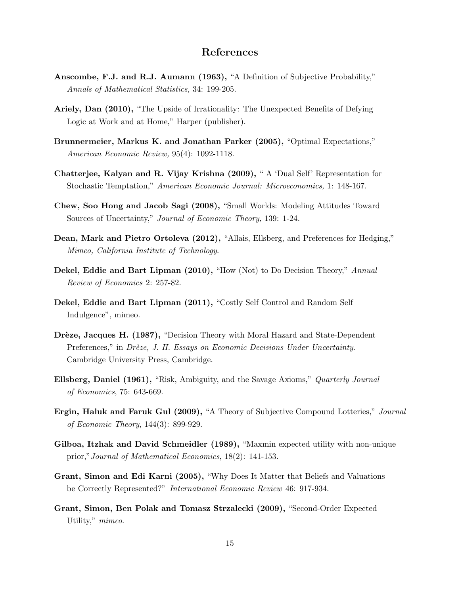# References

- Anscombe, F.J. and R.J. Aumann (1963), "A Definition of Subjective Probability," Annals of Mathematical Statistics, 34: 199-205.
- Ariely, Dan (2010), "The Upside of Irrationality: The Unexpected Benefits of Defying Logic at Work and at Home," Harper (publisher).
- Brunnermeier, Markus K. and Jonathan Parker (2005), "Optimal Expectations," American Economic Review, 95(4): 1092-1118.
- Chatterjee, Kalyan and R. Vijay Krishna (2009), " A 'Dual Self' Representation for Stochastic Temptation," American Economic Journal: Microeconomics, 1: 148-167.
- Chew, Soo Hong and Jacob Sagi (2008), "Small Worlds: Modeling Attitudes Toward Sources of Uncertainty," Journal of Economic Theory, 139: 1-24.
- Dean, Mark and Pietro Ortoleva (2012), "Allais, Ellsberg, and Preferences for Hedging," Mimeo, California Institute of Technology.
- Dekel, Eddie and Bart Lipman (2010), "How (Not) to Do Decision Theory," Annual Review of Economics 2: 257-82.
- Dekel, Eddie and Bart Lipman (2011), "Costly Self Control and Random Self Indulgence", mimeo.
- Drèze, Jacques H. (1987), "Decision Theory with Moral Hazard and State-Dependent Preferences," in Drèze, J. H. Essays on Economic Decisions Under Uncertainty. Cambridge University Press, Cambridge.
- Ellsberg, Daniel (1961), "Risk, Ambiguity, and the Savage Axioms," Quarterly Journal of Economics, 75: 643-669.
- Ergin, Haluk and Faruk Gul (2009), "A Theory of Subjective Compound Lotteries," Journal of Economic Theory, 144(3): 899-929.
- Gilboa, Itzhak and David Schmeidler (1989), "Maxmin expected utility with non-unique prior,"Journal of Mathematical Economics, 18(2): 141-153.
- Grant, Simon and Edi Karni (2005), "Why Does It Matter that Beliefs and Valuations be Correctly Represented?" International Economic Review 46: 917-934.
- Grant, Simon, Ben Polak and Tomasz Strzalecki (2009), "Second-Order Expected Utility," mimeo.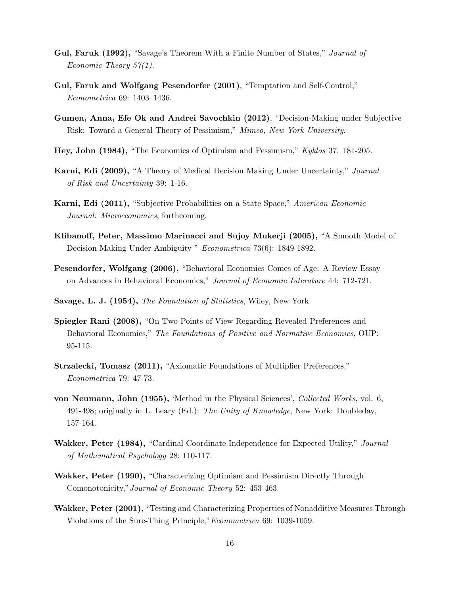- Gul, Faruk (1992), "Savage's Theorem With a Finite Number of States," Journal of Economic Theory  $57(1)$ .
- Gul, Faruk and Wolfgang Pesendorfer (2001), "Temptation and Self-Control," Econometrica 69: 1403–1436.
- Gumen, Anna, Efe Ok and Andrei Savochkin (2012), "Decision-Making under Subjective Risk: Toward a General Theory of Pessimism," Mimeo, New York University.
- Hey, John (1984), "The Economics of Optimism and Pessimism," Kyklos 37: 181-205.
- Karni, Edi (2009), "A Theory of Medical Decision Making Under Uncertainty," Journal of Risk and Uncertainty 39: 1-16.
- Karni, Edi (2011), "Subjective Probabilities on a State Space," American Economic Journal: Microeconomics, forthcoming.
- Klibanoff, Peter, Massimo Marinacci and Sujoy Mukerji (2005), "A Smooth Model of Decision Making Under Ambiguity " Econometrica 73(6): 1849-1892.
- Pesendorfer, Wolfgang (2006), "Behavioral Economics Comes of Age: A Review Essay on Advances in Behavioral Economics," Journal of Economic Literature 44: 712-721.
- Savage, L. J. (1954), The Foundation of Statistics, Wiley, New York.
- Spiegler Rani (2008), "On Two Points of View Regarding Revealed Preferences and Behavioral Economics," The Foundations of Positive and Normative Economics, OUP: 95-115.
- Strzalecki, Tomasz (2011), "Axiomatic Foundations of Multiplier Preferences," Econometrica 79: 47-73.
- von Neumann, John (1955), 'Method in the Physical Sciences', Collected Works, vol. 6, 491-498; originally in L. Leary (Ed.): The Unity of Knowledge, New York: Doubleday, 157-164.
- Wakker, Peter (1984), "Cardinal Coordinate Independence for Expected Utility," Journal of Mathematical Psychology 28: 110-117.
- Wakker, Peter (1990), "Characterizing Optimism and Pessimism Directly Through Comonotonicity,"Journal of Economic Theory 52: 453-463.
- Wakker, Peter (2001), "Testing and Characterizing Properties of Nonadditive Measures Through Violations of the Sure-Thing Principle,"Econometrica 69: 1039-1059.